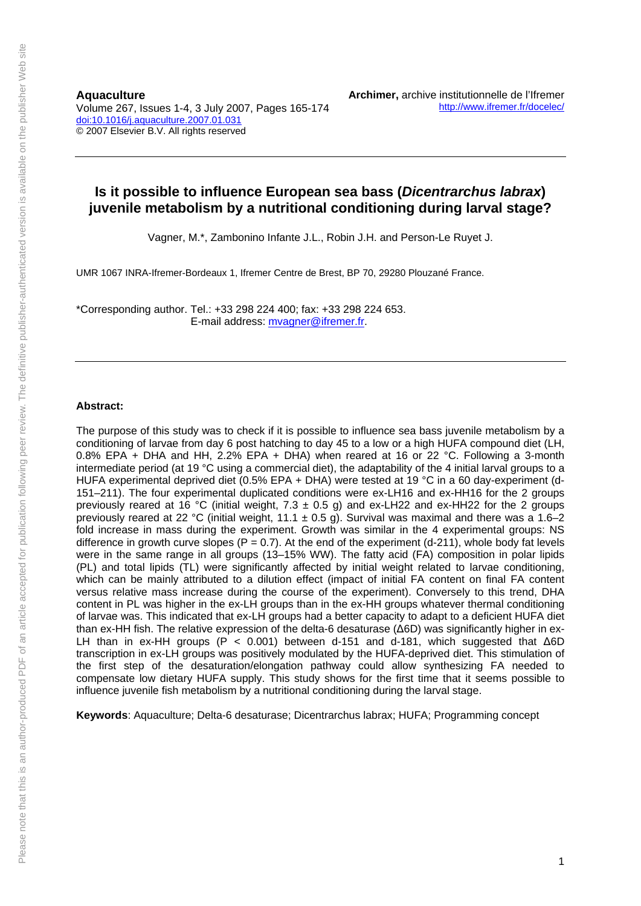**Aquaculture**  Volume 267, Issues 1-4, 3 July 2007, Pages 165-174 doi:10.1016/j.aquaculture.2007.01.031 © 2007 Elsevier B.V. All rights reserved

# **Is it possible to influence European sea bass (***Dicentrarchus labrax***) juvenile metabolism by a nutritional conditioning during larval stage?**

Vagner, M.\*, Zambonino Infante J.L., Robin J.H. and Person-Le Ruyet J.

UMR 1067 INRA-Ifremer-Bordeaux 1, Ifremer Centre de Brest, BP 70, 29280 Plouzané France.

\*Corresponding author. Tel.: +33 298 224 400; fax: +33 298 224 653. E-mail address: mvagner@ifremer.fr.

#### **Abstract:**

The purpose of this study was to check if it is possible to influence sea bass juvenile metabolism by a conditioning of larvae from day 6 post hatching to day 45 to a low or a high HUFA compound diet (LH, 0.8% EPA + DHA and HH, 2.2% EPA + DHA) when reared at 16 or 22 °C. Following a 3-month intermediate period (at 19 °C using a commercial diet), the adaptability of the 4 initial larval groups to a HUFA experimental deprived diet (0.5% EPA + DHA) were tested at 19 °C in a 60 day-experiment (d-151–211). The four experimental duplicated conditions were ex-LH16 and ex-HH16 for the 2 groups previously reared at 16 °C (initial weight, 7.3  $\pm$  0.5 g) and ex-LH22 and ex-HH22 for the 2 groups previously reared at 22 °C (initial weight, 11.1  $\pm$  0.5 g). Survival was maximal and there was a 1.6–2 fold increase in mass during the experiment. Growth was similar in the 4 experimental groups: NS difference in growth curve slopes ( $P = 0.7$ ). At the end of the experiment (d-211), whole body fat levels were in the same range in all groups (13–15% WW). The fatty acid (FA) composition in polar lipids (PL) and total lipids (TL) were significantly affected by initial weight related to larvae conditioning, which can be mainly attributed to a dilution effect (impact of initial FA content on final FA content versus relative mass increase during the course of the experiment). Conversely to this trend, DHA content in PL was higher in the ex-LH groups than in the ex-HH groups whatever thermal conditioning of larvae was. This indicated that ex-LH groups had a better capacity to adapt to a deficient HUFA diet than ex-HH fish. The relative expression of the delta-6 desaturase (Δ6D) was significantly higher in ex-LH than in ex-HH groups (P < 0.001) between d-151 and d-181, which suggested that Δ6D transcription in ex-LH groups was positively modulated by the HUFA-deprived diet. This stimulation of the first step of the desaturation/elongation pathway could allow synthesizing FA needed to compensate low dietary HUFA supply. This study shows for the first time that it seems possible to influence juvenile fish metabolism by a nutritional conditioning during the larval stage.

**Keywords**: Aquaculture; Delta-6 desaturase; Dicentrarchus labrax; HUFA; Programming concept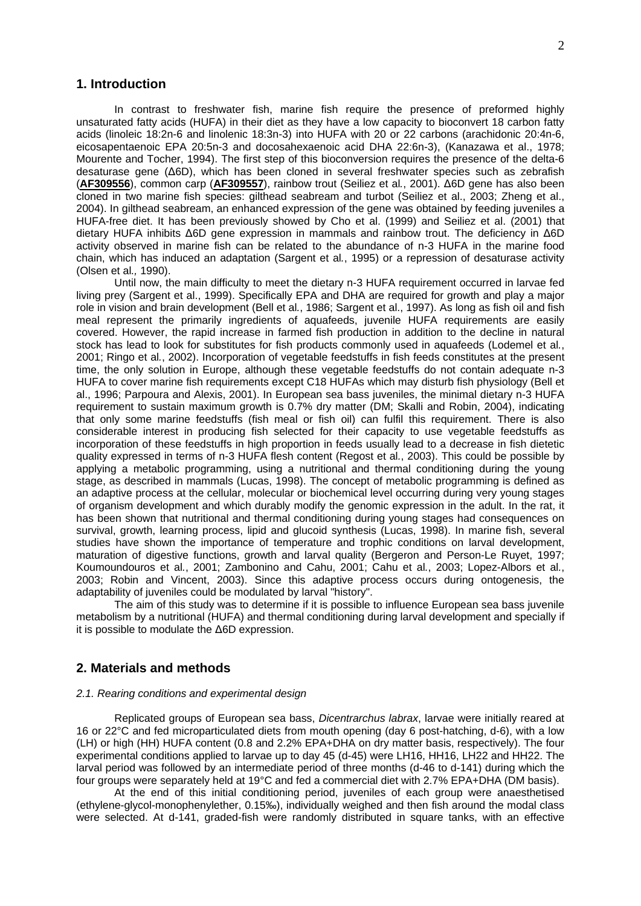## **1. Introduction**

In contrast to freshwater fish, marine fish require the presence of preformed highly unsaturated fatty acids (HUFA) in their diet as they have a low capacity to bioconvert 18 carbon fatty acids (linoleic 18:2n-6 and linolenic 18:3n-3) into HUFA with 20 or 22 carbons (arachidonic 20:4n-6, eicosapentaenoic EPA 20:5n-3 and docosahexaenoic acid DHA 22:6n-3), (Kanazawa et al., 1978; Mourente and Tocher, 1994). The first step of this bioconversion requires the presence of the delta-6 desaturase gene (Δ6D), which has been cloned in several freshwater species such as zebrafish (**AF309556**), common carp (**AF309557**), rainbow trout (Seiliez et al*.*, 2001). Δ6D gene has also been cloned in two marine fish species: gilthead seabream and turbot (Seiliez et al., 2003; Zheng et al., 2004). In gilthead seabream, an enhanced expression of the gene was obtained by feeding juveniles a HUFA-free diet. It has been previously showed by Cho et al. (1999) and Seiliez et al. (2001) that dietary HUFA inhibits Δ6D gene expression in mammals and rainbow trout. The deficiency in Δ6D activity observed in marine fish can be related to the abundance of n-3 HUFA in the marine food chain, which has induced an adaptation (Sargent et al*.*, 1995) or a repression of desaturase activity (Olsen et al*.,* 1990).

Until now, the main difficulty to meet the dietary n-3 HUFA requirement occurred in larvae fed living prey (Sargent et al., 1999). Specifically EPA and DHA are required for growth and play a major role in vision and brain development (Bell et al*.*, 1986; Sargent et al., 1997). As long as fish oil and fish meal represent the primarily ingredients of aquafeeds, juvenile HUFA requirements are easily covered. However, the rapid increase in farmed fish production in addition to the decline in natural stock has lead to look for substitutes for fish products commonly used in aquafeeds (Lodemel et al*.*, 2001; Ringo et al*.*, 2002). Incorporation of vegetable feedstuffs in fish feeds constitutes at the present time, the only solution in Europe, although these vegetable feedstuffs do not contain adequate n-3 HUFA to cover marine fish requirements except C18 HUFAs which may disturb fish physiology (Bell et al., 1996; Parpoura and Alexis, 2001). In European sea bass juveniles, the minimal dietary n-3 HUFA requirement to sustain maximum growth is 0.7% dry matter (DM; Skalli and Robin, 2004), indicating that only some marine feedstuffs (fish meal or fish oil) can fulfil this requirement. There is also considerable interest in producing fish selected for their capacity to use vegetable feedstuffs as incorporation of these feedstuffs in high proportion in feeds usually lead to a decrease in fish dietetic quality expressed in terms of n-3 HUFA flesh content (Regost et al*.*, 2003). This could be possible by applying a metabolic programming, using a nutritional and thermal conditioning during the young stage, as described in mammals (Lucas, 1998). The concept of metabolic programming is defined as an adaptive process at the cellular, molecular or biochemical level occurring during very young stages of organism development and which durably modify the genomic expression in the adult. In the rat, it has been shown that nutritional and thermal conditioning during young stages had consequences on survival, growth, learning process, lipid and glucoid synthesis (Lucas, 1998). In marine fish, several studies have shown the importance of temperature and trophic conditions on larval development, maturation of digestive functions, growth and larval quality (Bergeron and Person-Le Ruyet, 1997; Koumoundouros et al*.*, 2001; Zambonino and Cahu, 2001; Cahu et al*.*, 2003; Lopez-Albors et al*.*, 2003; Robin and Vincent, 2003). Since this adaptive process occurs during ontogenesis, the adaptability of juveniles could be modulated by larval "history".

The aim of this study was to determine if it is possible to influence European sea bass juvenile metabolism by a nutritional (HUFA) and thermal conditioning during larval development and specially if it is possible to modulate the Δ6D expression.

## **2. Materials and methods**

#### *2.1. Rearing conditions and experimental design*

Replicated groups of European sea bass, *Dicentrarchus labrax*, larvae were initially reared at 16 or 22°C and fed microparticulated diets from mouth opening (day 6 post-hatching, d-6), with a low (LH) or high (HH) HUFA content (0.8 and 2.2% EPA+DHA on dry matter basis, respectively). The four experimental conditions applied to larvae up to day 45 (d-45) were LH16, HH16, LH22 and HH22. The larval period was followed by an intermediate period of three months (d-46 to d-141) during which the four groups were separately held at 19°C and fed a commercial diet with 2.7% EPA+DHA (DM basis).

At the end of this initial conditioning period, juveniles of each group were anaesthetised (ethylene-glycol-monophenylether, 0.15‰), individually weighed and then fish around the modal class were selected. At d-141, graded-fish were randomly distributed in square tanks, with an effective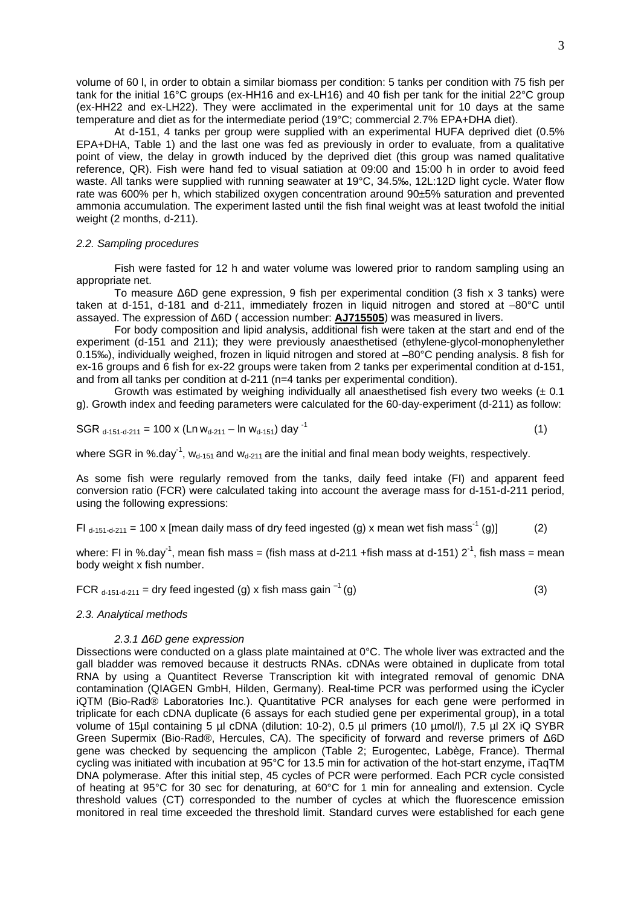volume of 60 l, in order to obtain a similar biomass per condition: 5 tanks per condition with 75 fish per tank for the initial 16°C groups (ex-HH16 and ex-LH16) and 40 fish per tank for the initial 22°C group (ex-HH22 and ex-LH22). They were acclimated in the experimental unit for 10 days at the same temperature and diet as for the intermediate period (19°C; commercial 2.7% EPA+DHA diet).

At d-151, 4 tanks per group were supplied with an experimental HUFA deprived diet (0.5% EPA+DHA, Table 1) and the last one was fed as previously in order to evaluate, from a qualitative point of view, the delay in growth induced by the deprived diet (this group was named qualitative reference, QR). Fish were hand fed to visual satiation at 09:00 and 15:00 h in order to avoid feed waste. All tanks were supplied with running seawater at 19°C, 34.5‰, 12L:12D light cycle. Water flow rate was 600% per h, which stabilized oxygen concentration around 90±5% saturation and prevented ammonia accumulation. The experiment lasted until the fish final weight was at least twofold the initial weight (2 months, d-211).

### *2.2. Sampling procedures*

Fish were fasted for 12 h and water volume was lowered prior to random sampling using an appropriate net.

To measure Δ6D gene expression, 9 fish per experimental condition (3 fish x 3 tanks) were taken at d-151, d-181 and d-211, immediately frozen in liquid nitrogen and stored at –80°C until assayed. The expression of Δ6D ( accession number: **AJ715505**) was measured in livers.

For body composition and lipid analysis, additional fish were taken at the start and end of the experiment (d-151 and 211); they were previously anaesthetised (ethylene-glycol-monophenylether 0.15‰), individually weighed, frozen in liquid nitrogen and stored at –80°C pending analysis. 8 fish for ex-16 groups and 6 fish for ex-22 groups were taken from 2 tanks per experimental condition at d-151, and from all tanks per condition at d-211 (n=4 tanks per experimental condition).

Growth was estimated by weighing individually all anaesthetised fish every two weeks  $(\pm 0.1)$ g). Growth index and feeding parameters were calculated for the 60-day-experiment (d-211) as follow:

$$
SGR_{d-151-d-211} = 100 \times (Ln w_{d-211} - ln w_{d-151}) day^{-1}
$$
 (1)

where SGR in %.day<sup>-1</sup>,  $w_{d-151}$  and  $w_{d-211}$  are the initial and final mean body weights, respectively.

As some fish were regularly removed from the tanks, daily feed intake (FI) and apparent feed conversion ratio (FCR) were calculated taking into account the average mass for d-151-d-211 period, using the following expressions:

FI  $_{d-151-d,211}$  = 100 x [mean daily mass of dry feed ingested (g) x mean wet fish mass<sup>-1</sup> (g)] (2)

where: FI in %.day<sup>-1</sup>, mean fish mass = (fish mass at d-211 +fish mass at d-151)  $2^{-1}$ , fish mass = mean body weight x fish number.

FCR  $_{d-151-d-211}$  = dry feed ingested (g) x fish mass gain  $^{-1}$  (g) (3)

#### *2.3. Analytical methods*

#### *2.3.1 Δ6D gene expression*

Dissections were conducted on a glass plate maintained at 0°C. The whole liver was extracted and the gall bladder was removed because it destructs RNAs. cDNAs were obtained in duplicate from total RNA by using a Quantitect Reverse Transcription kit with integrated removal of genomic DNA contamination (QIAGEN GmbH, Hilden, Germany). Real-time PCR was performed using the iCycler iQTM (Bio-Rad® Laboratories Inc.). Quantitative PCR analyses for each gene were performed in triplicate for each cDNA duplicate (6 assays for each studied gene per experimental group), in a total volume of 15µl containing 5 µl cDNA (dilution: 10-2), 0.5 µl primers (10 µmol/l), 7.5 µl 2X iQ SYBR Green Supermix (Bio-Rad®, Hercules, CA). The specificity of forward and reverse primers of Δ6D gene was checked by sequencing the amplicon (Table 2; Eurogentec, Labège, France). Thermal cycling was initiated with incubation at 95°C for 13.5 min for activation of the hot-start enzyme, iTaqTM DNA polymerase. After this initial step, 45 cycles of PCR were performed. Each PCR cycle consisted of heating at 95°C for 30 sec for denaturing, at 60°C for 1 min for annealing and extension. Cycle threshold values (CT) corresponded to the number of cycles at which the fluorescence emission monitored in real time exceeded the threshold limit. Standard curves were established for each gene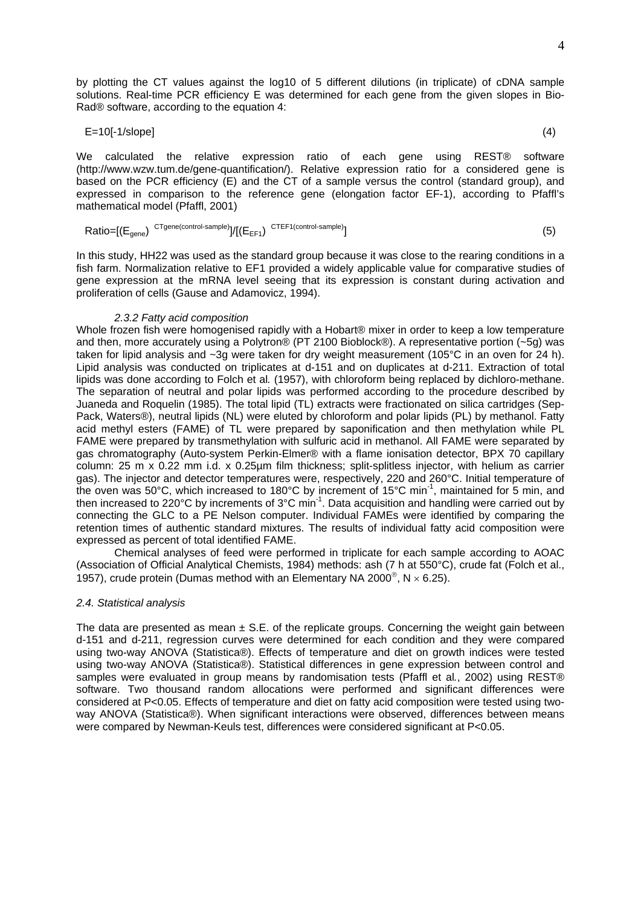by plotting the CT values against the log10 of 5 different dilutions (in triplicate) of cDNA sample solutions. Real-time PCR efficiency E was determined for each gene from the given slopes in Bio-Rad® software, according to the equation 4:

$$
E=10[-1/\text{slope}] \tag{4}
$$

We calculated the relative expression ratio of each gene using REST® software [\(http://www.wzw.tum.de/gene-quantification/\)](http://www.wzw.tum.de/gene-quantification/). Relative expression ratio for a considered gene is based on the PCR efficiency (E) and the CT of a sample versus the control (standard group), and expressed in comparison to the reference gene (elongation factor EF-1), according to Pfaffl's mathematical model (Pfaffl, 2001)

$$
Ratio = [(Egene)CTgene(control-sample)]/[(EEF1)CTEF1(control-sample)]
$$
\n(5)

In this study, HH22 was used as the standard group because it was close to the rearing conditions in a fish farm. Normalization relative to EF1 provided a widely applicable value for comparative studies of gene expression at the mRNA level seeing that its expression is constant during activation and proliferation of cells (Gause and Adamovicz, 1994).

### *2.3.2 Fatty acid composition*

Whole frozen fish were homogenised rapidly with a Hobart® mixer in order to keep a low temperature and then, more accurately using a Polytron® (PT 2100 Bioblock®). A representative portion (~5g) was taken for lipid analysis and ~3g were taken for dry weight measurement (105°C in an oven for 24 h). Lipid analysis was conducted on triplicates at d-151 and on duplicates at d-211. Extraction of total lipids was done according to Folch et al*.* (1957), with chloroform being replaced by dichloro-methane. The separation of neutral and polar lipids was performed according to the procedure described by Juaneda and Roquelin (1985). The total lipid (TL) extracts were fractionated on silica cartridges (Sep-Pack, Waters®), neutral lipids (NL) were eluted by chloroform and polar lipids (PL) by methanol. Fatty acid methyl esters (FAME) of TL were prepared by saponification and then methylation while PL FAME were prepared by transmethylation with sulfuric acid in methanol. All FAME were separated by gas chromatography (Auto-system Perkin-Elmer® with a flame ionisation detector, BPX 70 capillary column: 25 m x 0.22 mm i.d. x 0.25µm film thickness; split-splitless injector, with helium as carrier gas). The injector and detector temperatures were, respectively, 220 and 260°C. Initial temperature of the oven was 50°C, which increased to 180°C by increment of 15°C min-1, maintained for 5 min, and then increased to 220°C by increments of 3°C min<sup>-1</sup>. Data acquisition and handling were carried out by connecting the GLC to a PE Nelson computer. Individual FAMEs were identified by comparing the retention times of authentic standard mixtures. The results of individual fatty acid composition were expressed as percent of total identified FAME.

Chemical analyses of feed were performed in triplicate for each sample according to AOAC (Association of Official Analytical Chemists, 1984) methods: ash (7 h at 550°C), crude fat (Folch et al., 1957), crude protein (Dumas method with an Elementary NA 2000<sup>®</sup>, N  $\times$  6.25).

## *2.4. Statistical analysis*

The data are presented as mean  $\pm$  S.E. of the replicate groups. Concerning the weight gain between d-151 and d-211, regression curves were determined for each condition and they were compared using two-way ANOVA (Statistica®). Effects of temperature and diet on growth indices were tested using two-way ANOVA (Statistica®). Statistical differences in gene expression between control and samples were evaluated in group means by randomisation tests (Pfaffl et al*.*, 2002) using REST® software. Two thousand random allocations were performed and significant differences were considered at P<0.05. Effects of temperature and diet on fatty acid composition were tested using twoway ANOVA (Statistica®). When significant interactions were observed, differences between means were compared by Newman-Keuls test, differences were considered significant at P<0.05.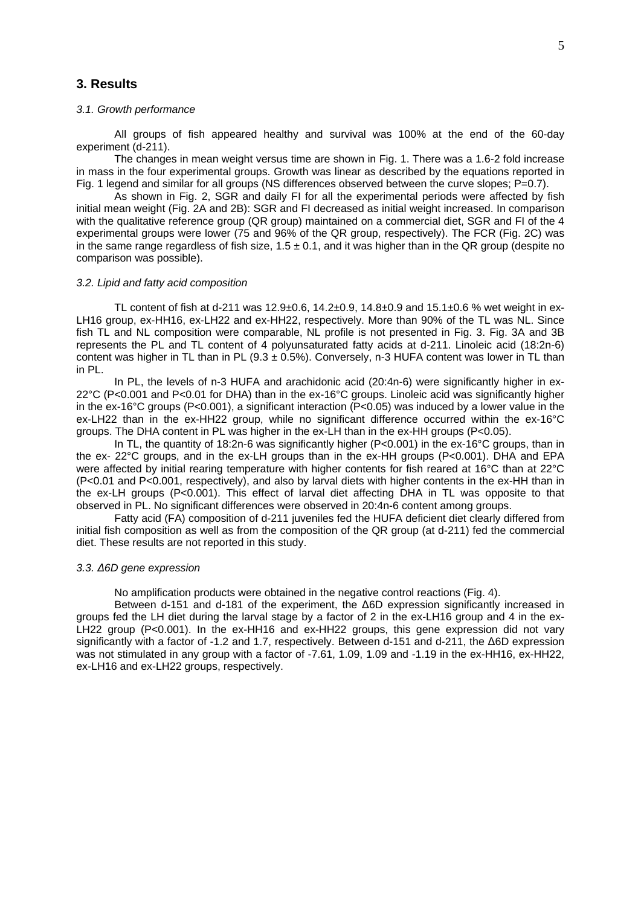# **3. Results**

### *3.1. Growth performance*

All groups of fish appeared healthy and survival was 100% at the end of the 60-day experiment (d-211).

The changes in mean weight versus time are shown in Fig. 1. There was a 1.6-2 fold increase in mass in the four experimental groups. Growth was linear as described by the equations reported in Fig. 1 legend and similar for all groups (NS differences observed between the curve slopes: P=0.7).

As shown in Fig. 2, SGR and daily FI for all the experimental periods were affected by fish initial mean weight (Fig. 2A and 2B): SGR and FI decreased as initial weight increased. In comparison with the qualitative reference group (QR group) maintained on a commercial diet, SGR and FI of the 4 experimental groups were lower (75 and 96% of the QR group, respectively). The FCR (Fig. 2C) was in the same range regardless of fish size,  $1.5 \pm 0.1$ , and it was higher than in the QR group (despite no comparison was possible).

### *3.2. Lipid and fatty acid composition*

TL content of fish at d-211 was 12.9±0.6, 14.2±0.9, 14.8±0.9 and 15.1±0.6 % wet weight in ex-LH16 group, ex-HH16, ex-LH22 and ex-HH22, respectively. More than 90% of the TL was NL. Since fish TL and NL composition were comparable, NL profile is not presented in Fig. 3. Fig. 3A and 3B represents the PL and TL content of 4 polyunsaturated fatty acids at d-211. Linoleic acid (18:2n-6) content was higher in TL than in PL (9.3  $\pm$  0.5%). Conversely, n-3 HUFA content was lower in TL than in PL.

In PL, the levels of n-3 HUFA and arachidonic acid (20:4n-6) were significantly higher in ex-22°C (P<0.001 and P<0.01 for DHA) than in the ex-16°C groups. Linoleic acid was significantly higher in the ex-16°C groups (P<0.001), a significant interaction (P<0.05) was induced by a lower value in the ex-LH22 than in the ex-HH22 group, while no significant difference occurred within the ex-16°C groups. The DHA content in PL was higher in the ex-LH than in the ex-HH groups (P<0.05).

In TL, the quantity of 18:2n-6 was significantly higher (P<0.001) in the ex-16°C groups, than in the ex- 22°C groups, and in the ex-LH groups than in the ex-HH groups (P<0.001). DHA and EPA were affected by initial rearing temperature with higher contents for fish reared at 16°C than at 22°C (P<0.01 and P<0.001, respectively), and also by larval diets with higher contents in the ex-HH than in the ex-LH groups (P<0.001). This effect of larval diet affecting DHA in TL was opposite to that observed in PL. No significant differences were observed in 20:4n-6 content among groups.

Fatty acid (FA) composition of d-211 juveniles fed the HUFA deficient diet clearly differed from initial fish composition as well as from the composition of the QR group (at d-211) fed the commercial diet. These results are not reported in this study.

#### *3.3. Δ6D gene expression*

No amplification products were obtained in the negative control reactions (Fig. 4).

Between d-151 and d-181 of the experiment, the Δ6D expression significantly increased in groups fed the LH diet during the larval stage by a factor of 2 in the ex-LH16 group and 4 in the ex-LH22 group (P<0.001). In the ex-HH16 and ex-HH22 groups, this gene expression did not vary significantly with a factor of -1.2 and 1.7, respectively. Between d-151 and d-211, the Δ6D expression was not stimulated in any group with a factor of -7.61, 1.09, 1.09 and -1.19 in the ex-HH16, ex-HH22, ex-LH16 and ex-LH22 groups, respectively.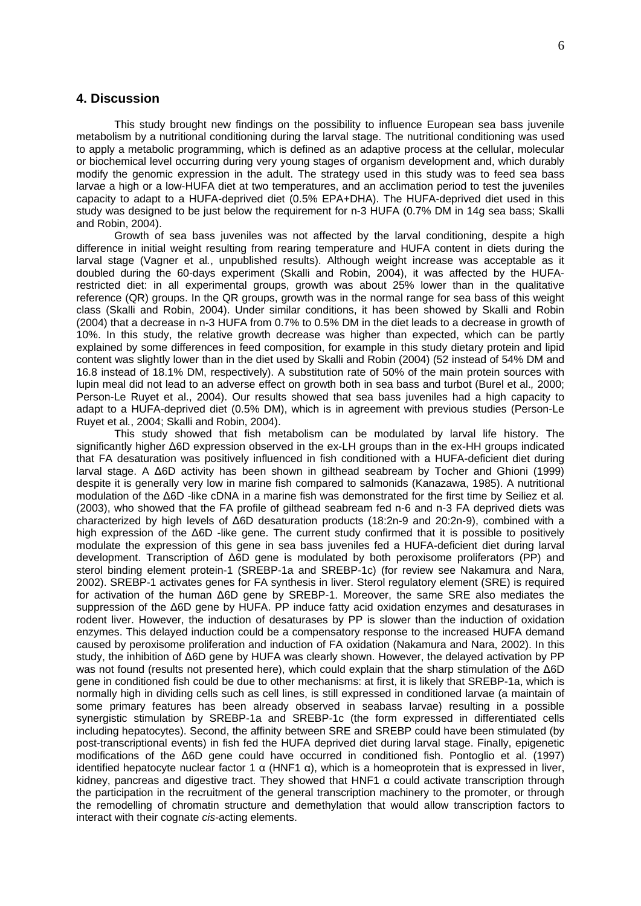## **4. Discussion**

This study brought new findings on the possibility to influence European sea bass juvenile metabolism by a nutritional conditioning during the larval stage. The nutritional conditioning was used to apply a metabolic programming, which is defined as an adaptive process at the cellular, molecular or biochemical level occurring during very young stages of organism development and, which durably modify the genomic expression in the adult. The strategy used in this study was to feed sea bass larvae a high or a low-HUFA diet at two temperatures, and an acclimation period to test the juveniles capacity to adapt to a HUFA-deprived diet (0.5% EPA+DHA). The HUFA-deprived diet used in this study was designed to be just below the requirement for n-3 HUFA (0.7% DM in 14g sea bass; Skalli and Robin, 2004).

Growth of sea bass juveniles was not affected by the larval conditioning, despite a high difference in initial weight resulting from rearing temperature and HUFA content in diets during the larval stage (Vagner et al*.*, unpublished results). Although weight increase was acceptable as it doubled during the 60-days experiment (Skalli and Robin, 2004), it was affected by the HUFArestricted diet: in all experimental groups, growth was about 25% lower than in the qualitative reference (QR) groups. In the QR groups, growth was in the normal range for sea bass of this weight class (Skalli and Robin, 2004). Under similar conditions, it has been showed by Skalli and Robin (2004) that a decrease in n-3 HUFA from 0.7% to 0.5% DM in the diet leads to a decrease in growth of 10%. In this study, the relative growth decrease was higher than expected, which can be partly explained by some differences in feed composition, for example in this study dietary protein and lipid content was slightly lower than in the diet used by Skalli and Robin (2004) (52 instead of 54% DM and 16.8 instead of 18.1% DM, respectively). A substitution rate of 50% of the main protein sources with lupin meal did not lead to an adverse effect on growth both in sea bass and turbot (Burel et al.*,* 2000; Person-Le Ruyet et al., 2004). Our results showed that sea bass juveniles had a high capacity to adapt to a HUFA-deprived diet (0.5% DM), which is in agreement with previous studies (Person-Le Ruyet et al*.*, 2004; Skalli and Robin, 2004).

This study showed that fish metabolism can be modulated by larval life history. The significantly higher Δ6D expression observed in the ex-LH groups than in the ex-HH groups indicated that FA desaturation was positively influenced in fish conditioned with a HUFA-deficient diet during larval stage. A Δ6D activity has been shown in gilthead seabream by Tocher and Ghioni (1999) despite it is generally very low in marine fish compared to salmonids (Kanazawa, 1985). A nutritional modulation of the Δ6D -like cDNA in a marine fish was demonstrated for the first time by Seiliez et al*.* (2003), who showed that the FA profile of gilthead seabream fed n-6 and n-3 FA deprived diets was characterized by high levels of Δ6D desaturation products (18:2n-9 and 20:2n-9), combined with a high expression of the Δ6D -like gene. The current study confirmed that it is possible to positively modulate the expression of this gene in sea bass juveniles fed a HUFA-deficient diet during larval development. Transcription of Δ6D gene is modulated by both peroxisome proliferators (PP) and sterol binding element protein-1 (SREBP-1a and SREBP-1c) (for review see Nakamura and Nara, 2002). SREBP-1 activates genes for FA synthesis in liver. Sterol regulatory element (SRE) is required for activation of the human Δ6D gene by SREBP-1. Moreover, the same SRE also mediates the suppression of the Δ6D gene by HUFA. PP induce fatty acid oxidation enzymes and desaturases in rodent liver. However, the induction of desaturases by PP is slower than the induction of oxidation enzymes. This delayed induction could be a compensatory response to the increased HUFA demand caused by peroxisome proliferation and induction of FA oxidation (Nakamura and Nara, 2002). In this study, the inhibition of Δ6D gene by HUFA was clearly shown. However, the delayed activation by PP was not found (results not presented here), which could explain that the sharp stimulation of the Δ6D gene in conditioned fish could be due to other mechanisms: at first, it is likely that SREBP-1a, which is normally high in dividing cells such as cell lines, is still expressed in conditioned larvae (a maintain of some primary features has been already observed in seabass larvae) resulting in a possible synergistic stimulation by SREBP-1a and SREBP-1c (the form expressed in differentiated cells including hepatocytes). Second, the affinity between SRE and SREBP could have been stimulated (by post-transcriptional events) in fish fed the HUFA deprived diet during larval stage. Finally, epigenetic modifications of the Δ6D gene could have occurred in conditioned fish. Pontoglio et al. (1997) identified hepatocyte nuclear factor 1  $\alpha$  (HNF1  $\alpha$ ), which is a homeoprotein that is expressed in liver, kidney, pancreas and digestive tract. They showed that HNF1 α could activate transcription through the participation in the recruitment of the general transcription machinery to the promoter, or through the remodelling of chromatin structure and demethylation that would allow transcription factors to interact with their cognate *cis*-acting elements.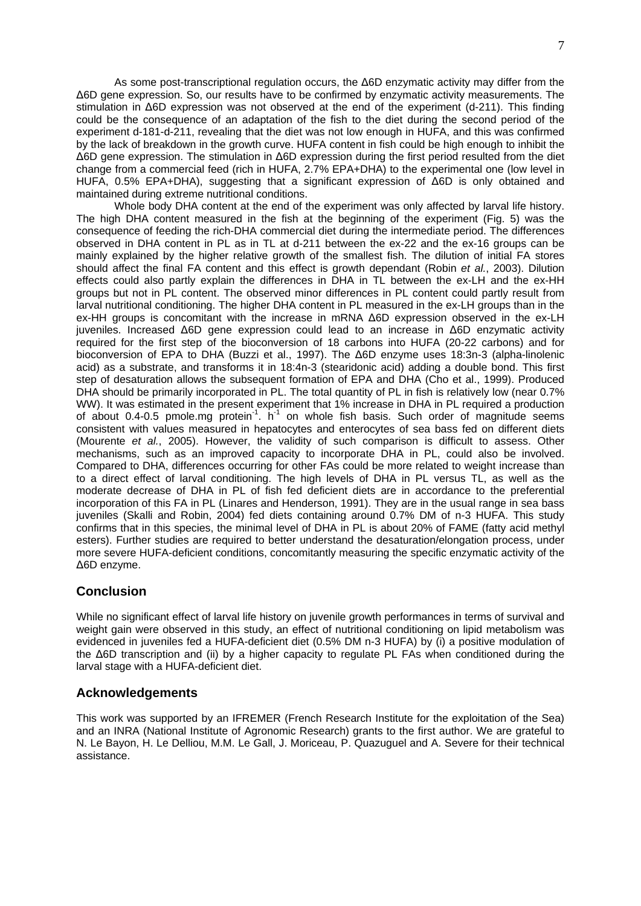As some post-transcriptional regulation occurs, the Δ6D enzymatic activity may differ from the Δ6D gene expression. So, our results have to be confirmed by enzymatic activity measurements. The stimulation in Δ6D expression was not observed at the end of the experiment (d-211). This finding could be the consequence of an adaptation of the fish to the diet during the second period of the experiment d-181-d-211, revealing that the diet was not low enough in HUFA, and this was confirmed by the lack of breakdown in the growth curve. HUFA content in fish could be high enough to inhibit the Δ6D gene expression. The stimulation in Δ6D expression during the first period resulted from the diet change from a commercial feed (rich in HUFA, 2.7% EPA+DHA) to the experimental one (low level in HUFA, 0.5% EPA+DHA), suggesting that a significant expression of Δ6D is only obtained and maintained during extreme nutritional conditions.

Whole body DHA content at the end of the experiment was only affected by larval life history. The high DHA content measured in the fish at the beginning of the experiment (Fig. 5) was the consequence of feeding the rich-DHA commercial diet during the intermediate period. The differences observed in DHA content in PL as in TL at d-211 between the ex-22 and the ex-16 groups can be mainly explained by the higher relative growth of the smallest fish. The dilution of initial FA stores should affect the final FA content and this effect is growth dependant (Robin *et al.*, 2003). Dilution effects could also partly explain the differences in DHA in TL between the ex-LH and the ex-HH groups but not in PL content. The observed minor differences in PL content could partly result from larval nutritional conditioning. The higher DHA content in PL measured in the ex-LH groups than in the ex-HH groups is concomitant with the increase in mRNA Δ6D expression observed in the ex-LH juveniles. Increased Δ6D gene expression could lead to an increase in Δ6D enzymatic activity required for the first step of the bioconversion of 18 carbons into HUFA (20-22 carbons) and for bioconversion of EPA to DHA (Buzzi et al., 1997). The Δ6D enzyme uses 18:3n-3 (alpha-linolenic acid) as a substrate, and transforms it in 18:4n-3 (stearidonic acid) adding a double bond. This first step of desaturation allows the subsequent formation of EPA and DHA (Cho et al., 1999). Produced DHA should be primarily incorporated in PL. The total quantity of PL in fish is relatively low (near 0.7%) WW). It was estimated in the present experiment that 1% increase in DHA in PL required a production of about 0.4-0.5 pmole.mg protein-1. h-1 on whole fish basis. Such order of magnitude seems consistent with values measured in hepatocytes and enterocytes of sea bass fed on different diets (Mourente *et al.*, 2005). However, the validity of such comparison is difficult to assess. Other mechanisms, such as an improved capacity to incorporate DHA in PL, could also be involved. Compared to DHA, differences occurring for other FAs could be more related to weight increase than to a direct effect of larval conditioning. The high levels of DHA in PL versus TL, as well as the moderate decrease of DHA in PL of fish fed deficient diets are in accordance to the preferential incorporation of this FA in PL (Linares and Henderson, 1991). They are in the usual range in sea bass juveniles (Skalli and Robin, 2004) fed diets containing around 0.7% DM of n-3 HUFA. This study confirms that in this species, the minimal level of DHA in PL is about 20% of FAME (fatty acid methyl esters). Further studies are required to better understand the desaturation/elongation process, under more severe HUFA-deficient conditions, concomitantly measuring the specific enzymatic activity of the Δ6D enzyme.

# **Conclusion**

While no significant effect of larval life history on juvenile growth performances in terms of survival and weight gain were observed in this study, an effect of nutritional conditioning on lipid metabolism was evidenced in juveniles fed a HUFA-deficient diet (0.5% DM n-3 HUFA) by (i) a positive modulation of the Δ6D transcription and (ii) by a higher capacity to regulate PL FAs when conditioned during the larval stage with a HUFA-deficient diet.

# **Acknowledgements**

This work was supported by an IFREMER (French Research Institute for the exploitation of the Sea) and an INRA (National Institute of Agronomic Research) grants to the first author. We are grateful to N. Le Bayon, H. Le Delliou, M.M. Le Gall, J. Moriceau, P. Quazuguel and A. Severe for their technical assistance.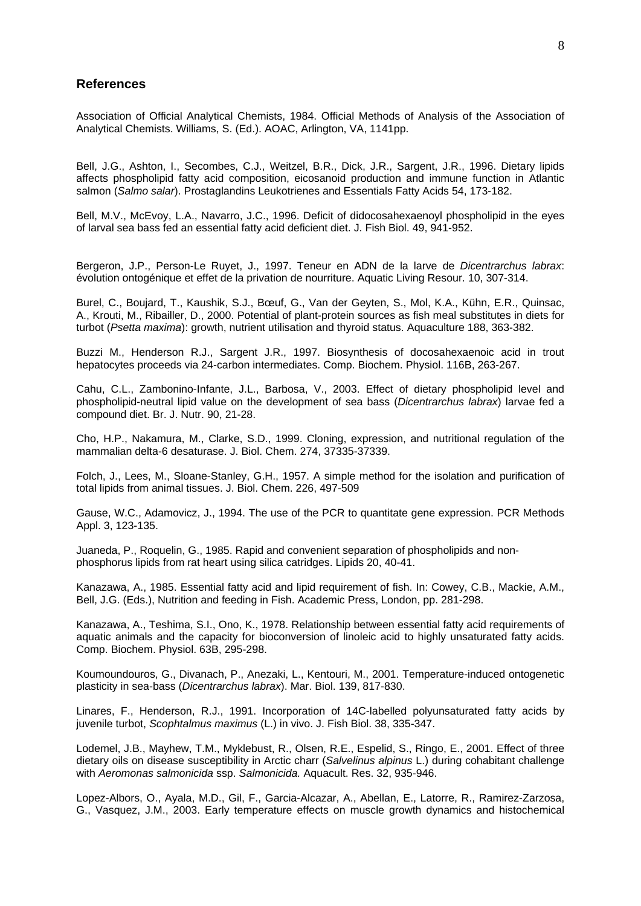## **References**

Association of Official Analytical Chemists, 1984. Official Methods of Analysis of the Association of Analytical Chemists. Williams, S. (Ed.). AOAC, Arlington, VA, 1141pp.

Bell, J.G., Ashton, I., Secombes, C.J., Weitzel, B.R., Dick, J.R., Sargent, J.R., 1996. Dietary lipids affects phospholipid fatty acid composition, eicosanoid production and immune function in Atlantic salmon (*Salmo salar*). Prostaglandins Leukotrienes and Essentials Fatty Acids 54, 173-182.

Bell, M.V., McEvoy, L.A., Navarro, J.C., 1996. Deficit of didocosahexaenoyl phospholipid in the eyes of larval sea bass fed an essential fatty acid deficient diet. J. Fish Biol. 49, 941-952.

Bergeron, J.P., Person-Le Ruyet, J., 1997. Teneur en ADN de la larve de *Dicentrarchus labrax*: évolution ontogénique et effet de la privation de nourriture. Aquatic Living Resour. 10, 307-314.

Burel, C., Boujard, T., Kaushik, S.J., Bœuf, G., Van der Geyten, S., Mol, K.A., Kühn, E.R., Quinsac, A., Krouti, M., Ribailler, D., 2000. Potential of plant-protein sources as fish meal substitutes in diets for turbot (*Psetta maxima*): growth, nutrient utilisation and thyroid status. Aquaculture 188, 363-382.

Buzzi M., Henderson R.J., Sargent J.R., 1997. Biosynthesis of docosahexaenoic acid in trout hepatocytes proceeds via 24-carbon intermediates. Comp. Biochem. Physiol. 116B, 263-267.

Cahu, C.L., Zambonino-Infante, J.L., Barbosa, V., 2003. Effect of dietary phospholipid level and phospholipid-neutral lipid value on the development of sea bass (*Dicentrarchus labrax*) larvae fed a compound diet. Br. J. Nutr. 90, 21-28.

Cho, H.P., Nakamura, M., Clarke, S.D., 1999. Cloning, expression, and nutritional regulation of the mammalian delta-6 desaturase. J. Biol. Chem. 274, 37335-37339.

Folch, J., Lees, M., Sloane-Stanley, G.H., 1957. A simple method for the isolation and purification of total lipids from animal tissues. J. Biol. Chem. 226, 497-509

Gause, W.C., Adamovicz, J., 1994. The use of the PCR to quantitate gene expression. PCR Methods Appl. 3, 123-135.

Juaneda, P., Roquelin, G., 1985. Rapid and convenient separation of phospholipids and nonphosphorus lipids from rat heart using silica catridges. Lipids 20, 40-41.

Kanazawa, A., 1985. Essential fatty acid and lipid requirement of fish. In: Cowey, C.B., Mackie, A.M., Bell, J.G. (Eds.), Nutrition and feeding in Fish. Academic Press, London, pp. 281-298.

Kanazawa, A., Teshima, S.I., Ono, K., 1978. Relationship between essential fatty acid requirements of aquatic animals and the capacity for bioconversion of linoleic acid to highly unsaturated fatty acids. Comp. Biochem. Physiol. 63B, 295-298.

Koumoundouros, G., Divanach, P., Anezaki, L., Kentouri, M., 2001. Temperature-induced ontogenetic plasticity in sea-bass (*Dicentrarchus labrax*). Mar. Biol. 139, 817-830.

Linares, F., Henderson, R.J., 1991. Incorporation of 14C-labelled polyunsaturated fatty acids by juvenile turbot, *Scophtalmus maximus* (L.) in vivo. J. Fish Biol. 38, 335-347.

Lodemel, J.B., Mayhew, T.M., Myklebust, R., Olsen, R.E., Espelid, S., Ringo, E., 2001. Effect of three dietary oils on disease susceptibility in Arctic charr (*Salvelinus alpinus* L.) during cohabitant challenge with *Aeromonas salmonicida* ssp. *Salmonicida.* Aquacult. Res. 32, 935-946.

Lopez-Albors, O., Ayala, M.D., Gil, F., Garcia-Alcazar, A., Abellan, E., Latorre, R., Ramirez-Zarzosa, G., Vasquez, J.M., 2003. Early temperature effects on muscle growth dynamics and histochemical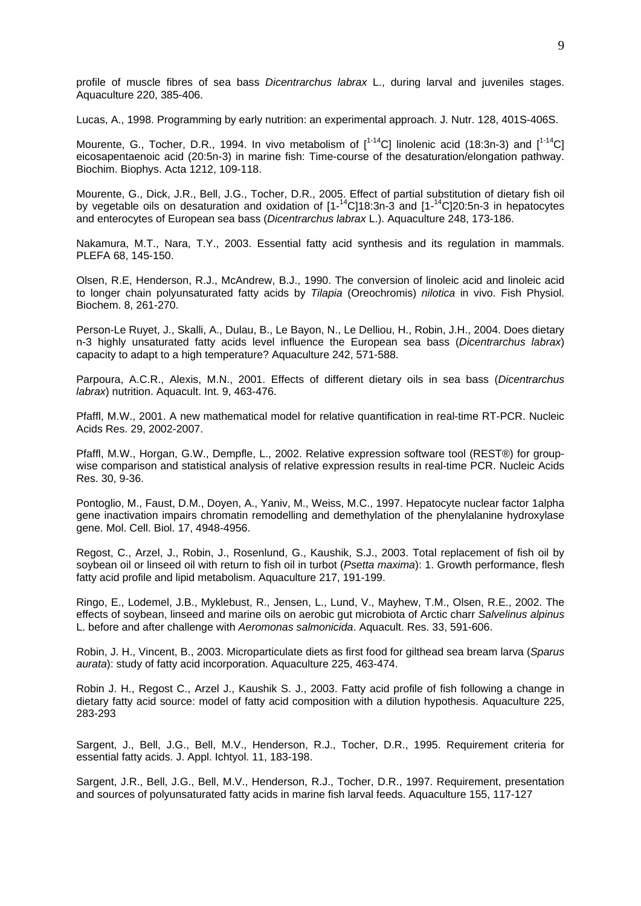profile of muscle fibres of sea bass *Dicentrarchus labrax* L., during larval and juveniles stages. Aquaculture 220, 385-406.

Lucas, A., 1998. Programming by early nutrition: an experimental approach. J. Nutr. 128, 401S-406S.

Mourente, G., Tocher, D.R., 1994. In vivo metabolism of  $[^{1-14}C]$  linolenic acid (18:3n-3) and  $[^{1-14}C]$ eicosapentaenoic acid (20:5n-3) in marine fish: Time-course of the desaturation/elongation pathway. Biochim. Biophys. Acta 1212, 109-118.

Mourente, G., Dick, J.R., Bell, J.G., Tocher, D.R., 2005. Effect of partial substitution of dietary fish oil by vegetable oils on desaturation and oxidation of  $[1 - {^{14}C}]18:3n-3$  and  $[1 - {^{14}C}]20:5n-3$  in hepatocytes and enterocytes of European sea bass (*Dicentrarchus labrax* L.). Aquaculture 248, 173-186.

Nakamura, M.T., Nara, T.Y., 2003. Essential fatty acid synthesis and its regulation in mammals. PLEFA 68, 145-150.

Olsen, R.E, Henderson, R.J., McAndrew, B.J., 1990. The conversion of linoleic acid and linoleic acid to longer chain polyunsaturated fatty acids by *Tilapia* (Oreochromis) *nilotica* in vivo. Fish Physiol. Biochem. 8, 261-270.

Person-Le Ruyet, J., Skalli, A., Dulau, B., Le Bayon, N., Le Delliou, H., Robin, J.H., 2004. Does dietary n-3 highly unsaturated fatty acids level influence the European sea bass (*Dicentrarchus labrax*) capacity to adapt to a high temperature? Aquaculture 242, 571-588.

Parpoura, A.C.R., Alexis, M.N., 2001. Effects of different dietary oils in sea bass (*Dicentrarchus labrax*) nutrition. Aquacult. Int. 9, 463-476.

Pfaffl, M.W., 2001. A new mathematical model for relative quantification in real-time RT-PCR. Nucleic Acids Res. 29, 2002-2007.

Pfaffl, M.W., Horgan, G.W., Dempfle, L., 2002. Relative expression software tool (REST®) for groupwise comparison and statistical analysis of relative expression results in real-time PCR. Nucleic Acids Res. 30, 9-36.

Pontoglio, M., Faust, D.M., Doyen, A., Yaniv, M., Weiss, M.C., 1997. Hepatocyte nuclear factor 1alpha gene inactivation impairs chromatin remodelling and demethylation of the phenylalanine hydroxylase gene. Mol. Cell. Biol. 17, 4948-4956.

Regost, C., Arzel, J., Robin, J., Rosenlund, G., Kaushik, S.J., 2003. Total replacement of fish oil by soybean oil or linseed oil with return to fish oil in turbot (*Psetta maxima*): 1. Growth performance, flesh fatty acid profile and lipid metabolism. Aquaculture 217, 191-199.

Ringo, E., Lodemel, J.B., Myklebust, R., Jensen, L., Lund, V., Mayhew, T.M., Olsen, R.E., 2002. The effects of soybean, linseed and marine oils on aerobic gut microbiota of Arctic charr *Salvelinus alpinus* L. before and after challenge with *Aeromonas salmonicida*. Aquacult. Res. 33, 591-606.

Robin, J. H., Vincent, B., 2003. Microparticulate diets as first food for gilthead sea bream larva (*Sparus aurata*): study of fatty acid incorporation. Aquaculture 225, 463-474.

Robin J. H., Regost C., Arzel J., Kaushik S. J., 2003. Fatty acid profile of fish following a change in dietary fatty acid source: model of fatty acid composition with a dilution hypothesis. Aquaculture 225, 283-293

Sargent, J., Bell, J.G., Bell, M.V., Henderson, R.J., Tocher, D.R., 1995. Requirement criteria for essential fatty acids. J. Appl. Ichtyol. 11, 183-198.

Sargent, J.R., Bell, J.G., Bell, M.V., Henderson, R.J., Tocher, D.R., 1997. Requirement, presentation and sources of polyunsaturated fatty acids in marine fish larval feeds. Aquaculture 155, 117-127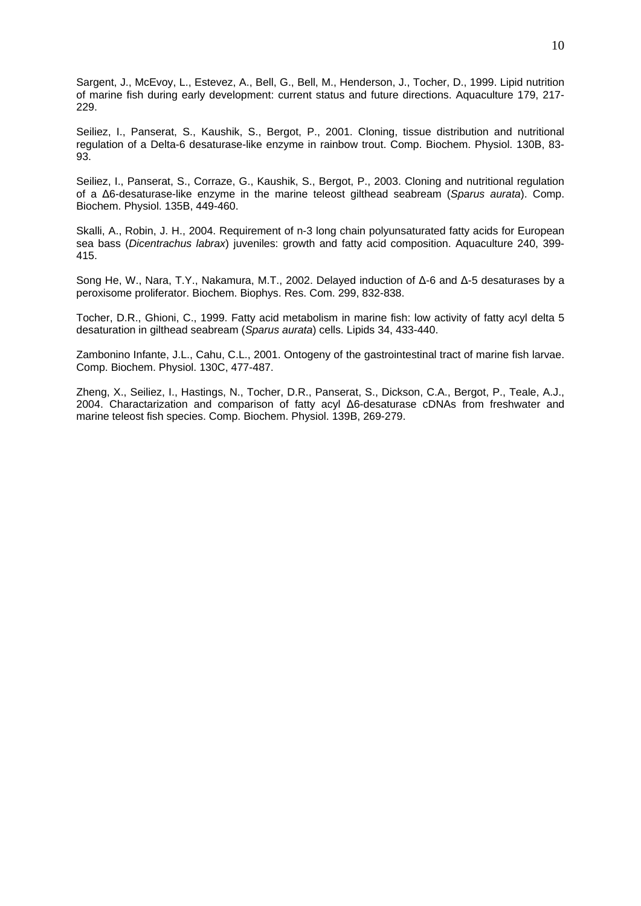Sargent, J., McEvoy, L., Estevez, A., Bell, G., Bell, M., Henderson, J., Tocher, D., 1999. Lipid nutrition of marine fish during early development: current status and future directions. Aquaculture 179, 217- 229.

Seiliez, I., Panserat, S., Kaushik, S., Bergot, P., 2001. Cloning, tissue distribution and nutritional regulation of a Delta-6 desaturase-like enzyme in rainbow trout. Comp. Biochem. Physiol. 130B, 83- 93.

Seiliez, I., Panserat, S., Corraze, G., Kaushik, S., Bergot, P., 2003. Cloning and nutritional regulation of a Δ6-desaturase-like enzyme in the marine teleost gilthead seabream (*Sparus aurata*). Comp. Biochem. Physiol. 135B, 449-460.

Skalli, A., Robin, J. H., 2004. Requirement of n-3 long chain polyunsaturated fatty acids for European sea bass (*Dicentrachus labrax*) juveniles: growth and fatty acid composition. Aquaculture 240, 399- 415.

Song He, W., Nara, T.Y., Nakamura, M.T., 2002. Delayed induction of Δ-6 and Δ-5 desaturases by a peroxisome proliferator. Biochem. Biophys. Res. Com. 299, 832-838.

Tocher, D.R., Ghioni, C., 1999. Fatty acid metabolism in marine fish: low activity of fatty acyl delta 5 desaturation in gilthead seabream (*Sparus aurata*) cells. Lipids 34, 433-440.

Zambonino Infante, J.L., Cahu, C.L., 2001. Ontogeny of the gastrointestinal tract of marine fish larvae. Comp. Biochem. Physiol. 130C, 477-487.

Zheng, X., Seiliez, I., Hastings, N., Tocher, D.R., Panserat, S., Dickson, C.A., Bergot, P., Teale, A.J., 2004. Charactarization and comparison of fatty acyl Δ6-desaturase cDNAs from freshwater and marine teleost fish species. Comp. Biochem. Physiol. 139B, 269-279.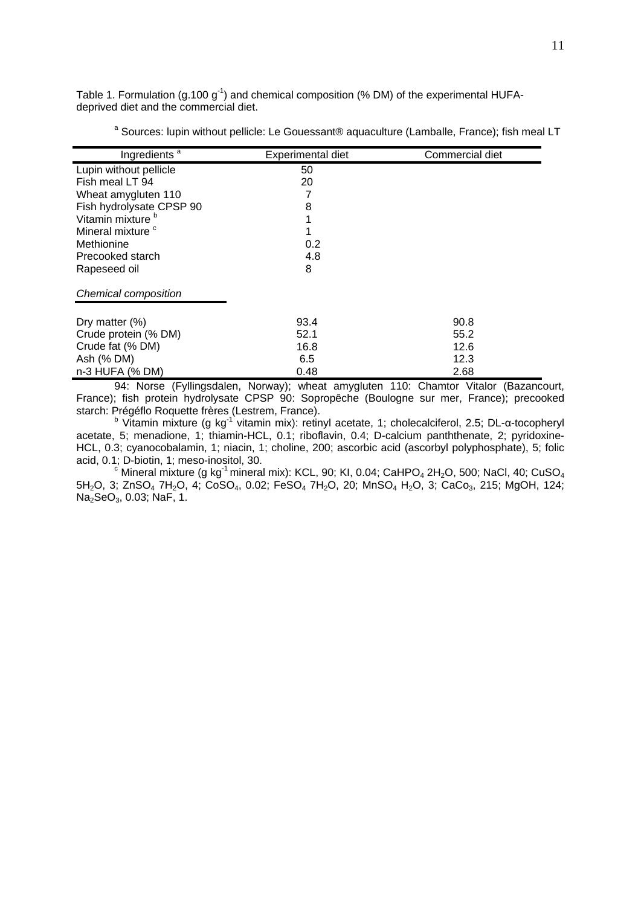Table 1. Formulation (g.100  $g^{-1}$ ) and chemical composition (% DM) of the experimental HUFAdeprived diet and the commercial diet.

| a Sources: lupin without pellicle: Le Gouessant® aquaculture (Lamballe, France); fish meal LT |  |  |  |
|-----------------------------------------------------------------------------------------------|--|--|--|
|                                                                                               |  |  |  |

| Ingredients <sup>a</sup>     | Experimental diet | Commercial diet |
|------------------------------|-------------------|-----------------|
| Lupin without pellicle       | 50                |                 |
| Fish meal LT 94              | 20                |                 |
| Wheat amygluten 110          |                   |                 |
| Fish hydrolysate CPSP 90     | 8                 |                 |
| Vitamin mixture <sup>b</sup> |                   |                 |
| Mineral mixture <sup>c</sup> |                   |                 |
| Methionine                   | 0.2               |                 |
| Precooked starch             | 4.8               |                 |
| Rapeseed oil                 | 8                 |                 |
| Chemical composition         |                   |                 |
|                              |                   |                 |
| Dry matter $(\%)$            | 93.4              | 90.8            |
| Crude protein (% DM)         | 52.1              | 55.2            |
| Crude fat (% DM)             | 16.8              | 12.6            |
| Ash (% DM)                   | 6.5               | 12.3            |
| n-3 HUFA (% DM)              | 0.48              | 2.68            |

94: Norse (Fyllingsdalen, Norway); wheat amygluten 110: Chamtor Vitalor (Bazancourt, France); fish protein hydrolysate CPSP 90: Sopropêche (Boulogne sur mer, France); precooked starch: Prégéflo Roquette frères (Lestrem, France).

<sup>b</sup> Vitamin mixture (g kg<sup>-1</sup> vitamin mix): retinyl acetate, 1; cholecalciferol, 2.5; DL-α-tocopheryl acetate, 5; menadione, 1; thiamin-HCL, 0.1; riboflavin, 0.4; D-calcium panththenate, 2; pyridoxine-HCL, 0.3; cyanocobalamin, 1; niacin, 1; choline, 200; ascorbic acid (ascorbyl polyphosphate), 5; folic acid, 0.1; D-biotin, 1; meso-inositol, 30.

 $\textdegree$  Mineral mixture (g kg<sup>-1</sup> mineral mix): KCL, 90; KI, 0.04; CaHPO<sub>4</sub> 2H<sub>2</sub>O, 500; NaCl, 40; CuSO<sub>4</sub> 5H<sub>2</sub>O, 3; ZnSO<sub>4</sub> 7H<sub>2</sub>O, 4; CoSO<sub>4</sub>, 0.02; FeSO<sub>4</sub> 7H<sub>2</sub>O, 20; MnSO<sub>4</sub> H<sub>2</sub>O, 3; CaCo<sub>3</sub>, 215; MgOH, 124; Na<sub>2</sub>SeO<sub>3</sub>, 0.03; NaF, 1.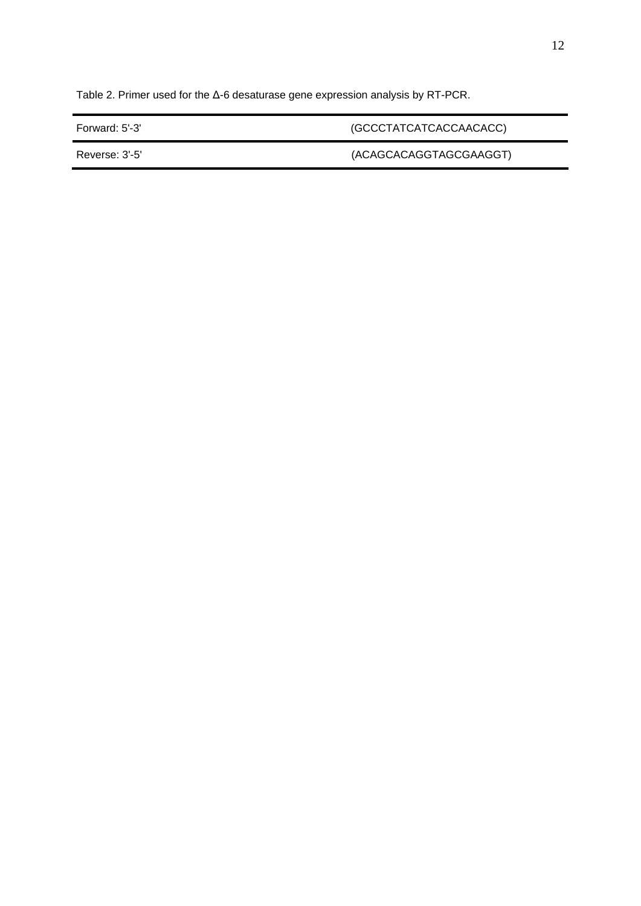Table 2. Primer used for the Δ-6 desaturase gene expression analysis by RT-PCR.

Forward: 5'-3' (GCCCTATCATCACCAACACC)

Reverse: 3'-5' (ACAGCACAGGTAGCGAAGGT)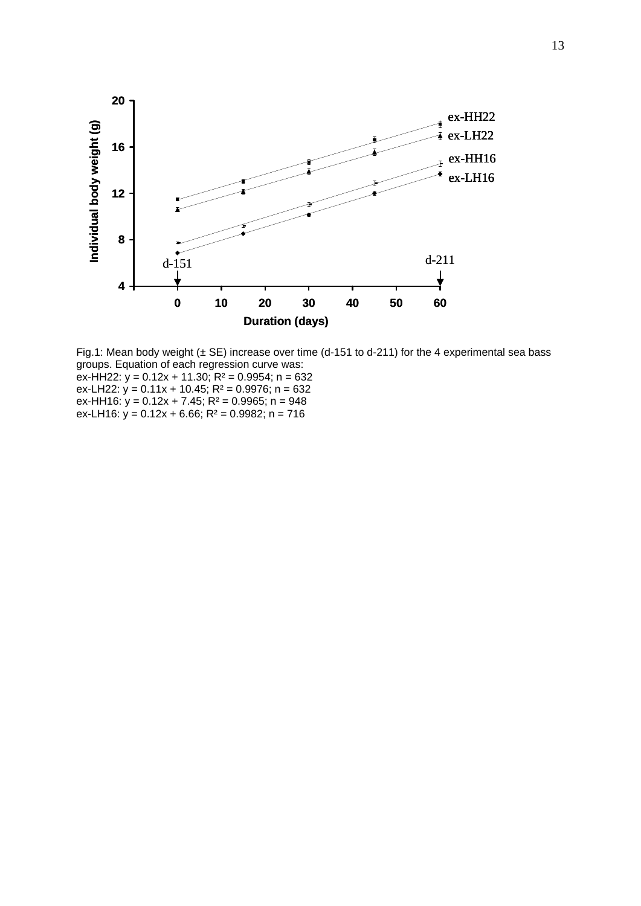

Fig.1: Mean body weight  $(\pm S\mathsf{E})$  increase over time (d-151 to d-211) for the 4 experimental sea bass groups. Equation of each regression curve was:  $ex$ -HH22:  $y = 0.12x + 11.30$ ;  $R^2 = 0.9954$ ; n = 632 ex-LH22:  $y = 0.11x + 10.45$ ; R<sup>2</sup> = 0.9976; n = 632 ex-HH16:  $y = 0.12x + 7.45$ ; R<sup>2</sup> = 0.9965; n = 948 ex-LH16:  $y = 0.12x + 6.66$ ; R<sup>2</sup> = 0.9982; n = 716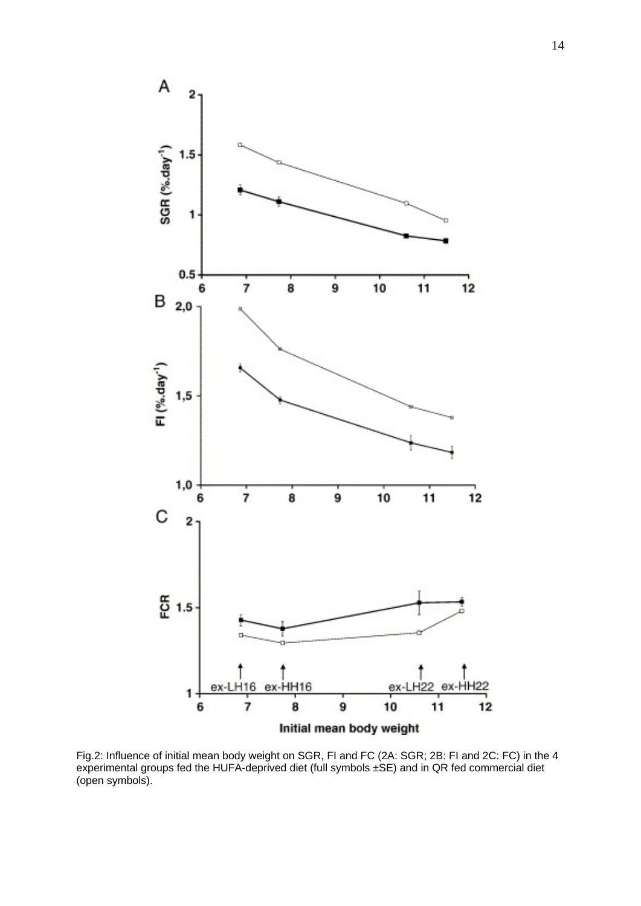

Fig.2: Influence of initial mean body weight on SGR, FI and FC (2A: SGR; 2B: FI and 2C: FC) in the 4 experimental groups fed the HUFA-deprived diet (full symbols ±SE) and in QR fed commercial diet (open symbols).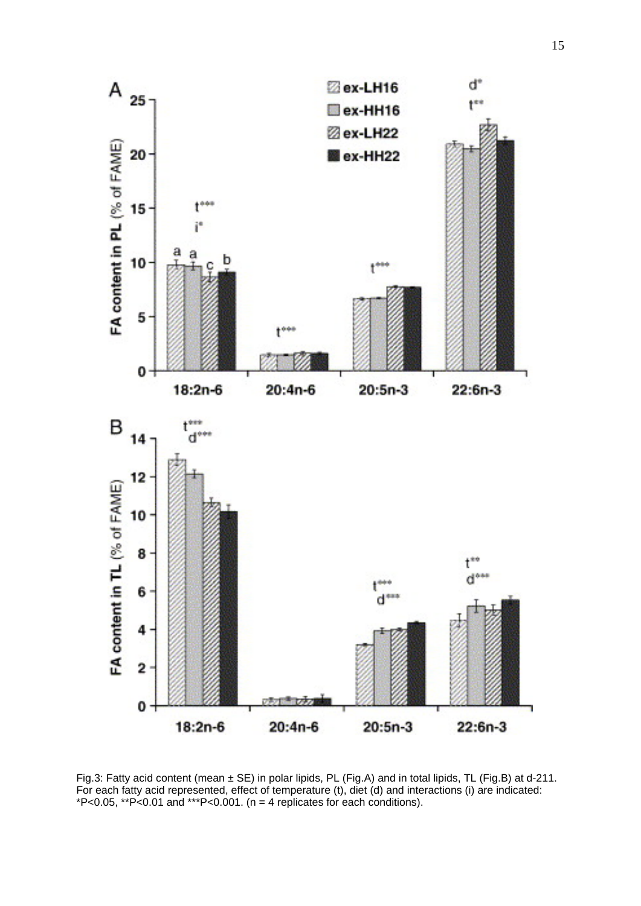

Fig.3: Fatty acid content (mean ± SE) in polar lipids, PL (Fig.A) and in total lipids, TL (Fig.B) at d-211. For each fatty acid represented, effect of temperature (t), diet (d) and interactions (i) are indicated: \*P<0.05, \*\*P<0.01 and \*\*\*P<0.001. (n = 4 replicates for each conditions).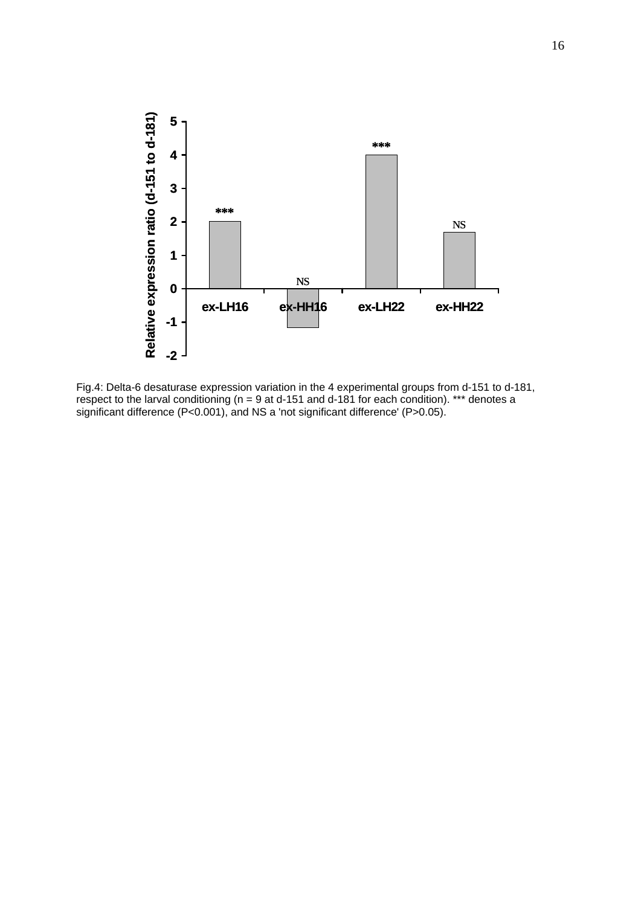

Fig.4: Delta-6 desaturase expression variation in the 4 experimental groups from d-151 to d-181, respect to the larval conditioning ( $n = 9$  at d-151 and d-181 for each condition). \*\*\* denotes a significant difference (P<0.001), and NS a 'not significant difference' (P>0.05).